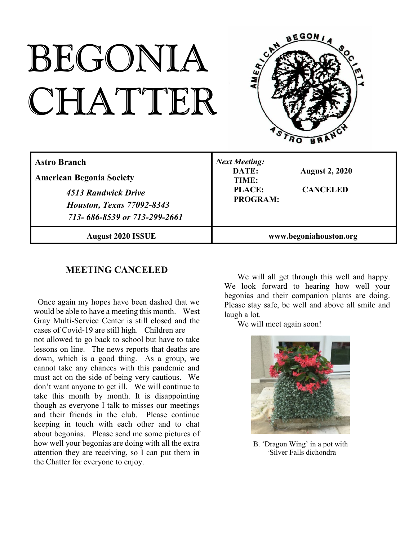# BEGONIA CHATTER



| <b>Astro Branch</b><br><b>American Begonia Society</b><br>4513 Randwick Drive<br><b>Houston, Texas 77092-8343</b><br>713-686-8539 or 713-299-2661 | <b>Next Meeting:</b><br>DATE:<br><b>August 2, 2020</b><br>TIME:<br><b>PLACE:</b><br><b>CANCELED</b><br><b>PROGRAM:</b> |
|---------------------------------------------------------------------------------------------------------------------------------------------------|------------------------------------------------------------------------------------------------------------------------|
| <b>August 2020 ISSUE</b>                                                                                                                          | www.begoniahouston.org                                                                                                 |

## **MEETING CANCELED**

Once again my hopes have been dashed that we would be able to have a meeting this month. West Gray Multi-Service Center is still closed and the cases of Covid-19 are still high. Children are not allowed to go back to school but have to take lessons on line. The news reports that deaths are down, which is a good thing. As a group, we cannot take any chances with this pandemic and must act on the side of being very cautious. We don't want anyone to get ill. We will continue to take this month by month. It is disappointing though as everyone I talk to misses our meetings and their friends in the club. Please continue keeping in touch with each other and to chat about begonias. Please send me some pictures of how well your begonias are doing with all the extra attention they are receiving, so I can put them in the Chatter for everyone to enjoy.

We will all get through this well and happy. We look forward to hearing how well your begonias and their companion plants are doing. Please stay safe, be well and above all smile and laugh a lot.

We will meet again soon!



B. 'Dragon Wing' in a pot with 'Silver Falls dichondra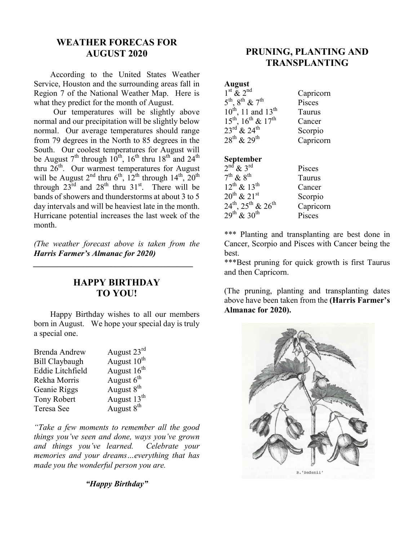## **WEATHER FORECAS FOR AUGUST 2020**

According to the United States Weather Service, Houston and the surrounding areas fall in Region 7 of the National Weather Map. Here is what they predict for the month of August.

Our temperatures will be slightly above normal and our precipitation will be slightly below normal. Our average temperatures should range from 79 degrees in the North to 85 degrees in the South. Our coolest temperatures for August will be August  $7<sup>th</sup>$  through  $10<sup>th</sup>$ ,  $16<sup>th</sup>$  thru  $18<sup>th</sup>$  and  $24<sup>th</sup>$ thru  $26^{th}$ . Our warmest temperatures for August will be August  $2^{nd}$  thru  $6^{th}$ ,  $12^{th}$  through  $14^{th}$ ,  $20^{th}$ through  $23^{\text{rd}}$  and  $28^{\text{th}}$  thru  $31^{\text{st}}$ . There will be bands of showers and thunderstorms at about 3 to 5 day intervals and will be heaviest late in the month. Hurricane potential increases the last week of the month.

*(The weather forecast above is taken from the Harris Farmer's Almanac for 2020)*

*\_\_\_\_\_\_\_\_\_\_\_\_\_\_\_\_\_\_\_\_\_\_\_\_\_\_\_\_\_\_\_\_\_\_\_\_\_\_\_*

### **HAPPY BIRTHDAY TO YOU!**

Happy Birthday wishes to all our members born in August. We hope your special day is truly a special one.

| <b>Brenda Andrew</b>  | August 23rd             |
|-----------------------|-------------------------|
| <b>Bill Claybaugh</b> | August 10 <sup>th</sup> |
| Eddie Litchfield      | August 16 <sup>th</sup> |
| Rekha Morris          | August $6th$            |
| Geanie Riggs          | August 8 <sup>th</sup>  |
| <b>Tony Robert</b>    | August 13 <sup>th</sup> |
| Teresa See            | August $8th$            |

*"Take a few moments to remember all the good things you've seen and done, ways you've grown and things you've learned. Celebrate your memories and your dreams…everything that has made you the wonderful person you are.*

*"Happy Birthday"*

## **PRUNING, PLANTING AND TRANSPLANTING**

#### **August**

| $1st$ & $2nd$                                       | Capricorn |
|-----------------------------------------------------|-----------|
| $5^{\text{th}}$ , $8^{\text{th}}$ & $7^{\text{th}}$ | Pisces    |
| $10^{th}$ , 11 and $13^{th}$                        | Taurus    |
| $15^{th}$ , $16^{th}$ & $17^{th}$                   | Cancer    |
| $23^{\text{rd}}$ & $24^{\text{th}}$                 | Scorpio   |
| $28^{th}$ & $29^{th}$                               | Capricorn |

#### **September**

| $2nd$ & $3rd$                                          | Pisces    |
|--------------------------------------------------------|-----------|
| $7^{\text{th}}$ & $8^{\text{th}}$                      | Taurus    |
| $12^{th}$ & $13^{th}$                                  | Cancer    |
| $20^{th}$ & $21^{st}$                                  | Scorpio   |
| $24^{\text{th}}$ , $25^{\text{th}}$ & $26^{\text{th}}$ | Capricorn |
| $29^{th}$ & $30^{th}$                                  | Pisces    |

\*\*\* Planting and transplanting are best done in Cancer, Scorpio and Pisces with Cancer being the best.

\*\*\*Best pruning for quick growth is first Taurus and then Capricorn.

(The pruning, planting and transplanting dates above have been taken from the **(Harris Farmer's Almanac for 2020).**

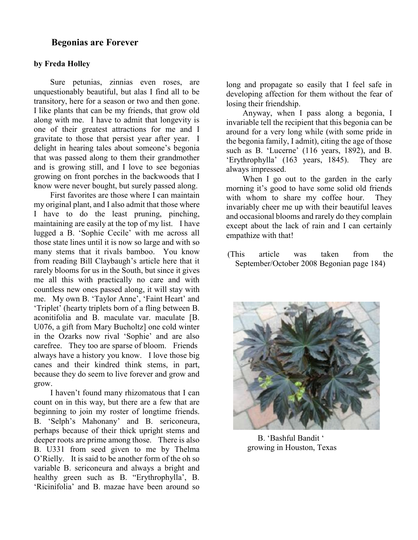#### **Begonias are Forever**

#### **by Freda Holley**

Sure petunias, zinnias even roses, are unquestionably beautiful, but alas I find all to be transitory, here for a season or two and then gone. I like plants that can be my friends, that grow old along with me. I have to admit that longevity is one of their greatest attractions for me and I gravitate to those that persist year after year. I delight in hearing tales about someone's begonia that was passed along to them their grandmother and is growing still, and I love to see begonias growing on front porches in the backwoods that I know were never bought, but surely passed along.

First favorites are those where I can maintain my original plant, and I also admit that those where I have to do the least pruning, pinching, maintaining are easily at the top of my list. I have lugged a B. 'Sophie Cecile' with me across all those state lines until it is now so large and with so many stems that it rivals bamboo. You know from reading Bill Claybaugh's article here that it rarely blooms for us in the South, but since it gives me all this with practically no care and with countless new ones passed along, it will stay with me. My own B. 'Taylor Anne', 'Faint Heart' and 'Triplet' (hearty triplets born of a fling between B. aconitifolia and B. maculate var. maculate [B. U076, a gift from Mary Bucholtz] one cold winter in the Ozarks now rival 'Sophie' and are also carefree. They too are sparse of bloom. Friends always have a history you know. I love those big canes and their kindred think stems, in part, because they do seem to live forever and grow and grow.

I haven't found many rhizomatous that I can count on in this way, but there are a few that are beginning to join my roster of longtime friends. B. 'Selph's Mahonany' and B. sericoneura, perhaps because of their thick upright stems and deeper roots are prime among those. There is also B. U331 from seed given to me by Thelma O'Rielly. It is said to be another form of the oh so variable B. sericoneura and always a bright and healthy green such as B. "Erythrophylla', B. 'Ricinifolia' and B. mazae have been around so long and propagate so easily that I feel safe in developing affection for them without the fear of losing their friendship.

Anyway, when I pass along a begonia, I invariable tell the recipient that this begonia can be around for a very long while (with some pride in the begonia family, I admit), citing the age of those such as B. 'Lucerne' (116 years, 1892), and B. 'Erythrophylla' (163 years, 1845). They are always impressed.

When I go out to the garden in the early morning it's good to have some solid old friends with whom to share my coffee hour. They invariably cheer me up with their beautiful leaves and occasional blooms and rarely do they complain except about the lack of rain and I can certainly empathize with that!

(This article was taken from the September/October 2008 Begonian page 184)



B. 'Bashful Bandit ' growing in Houston, Texas